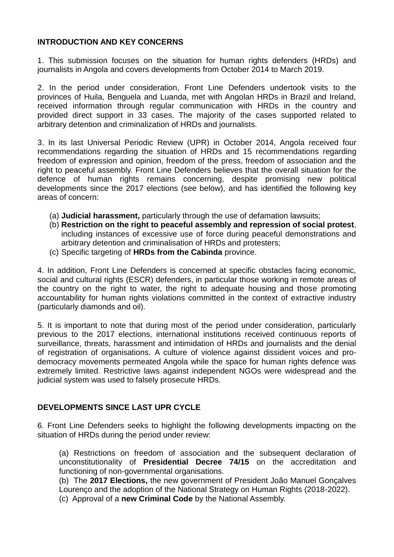### **INTRODUCTION AND KEY CONCERNS**

1. This submission focuses on the situation for human rights defenders (HRDs) and journalists in Angola and covers developments from October 2014 to March 2019.

2. In the period under consideration, Front Line Defenders undertook visits to the provinces of Huila, Benguela and Luanda, met with Angolan HRDs in Brazil and Ireland, received information through regular communication with HRDs in the country and provided direct support in 33 cases. The majority of the cases supported related to arbitrary detention and criminalization of HRDs and journalists.

3. In its last Universal Periodic Review (UPR) in October 2014, Angola received four recommendations regarding the situation of HRDs and 15 recommendations regarding freedom of expression and opinion, freedom of the press, freedom of association and the right to peaceful assembly. Front Line Defenders believes that the overall situation for the defence of human rights remains concerning, despite promising new political developments since the 2017 elections (see below), and has identified the following key areas of concern:

- (a) **Judicial harassment,** particularly through the use of defamation lawsuits;
- (b) **Restriction on the right to peaceful assembly and repression of social protest**, including instances of excessive use of force during peaceful demonstrations and arbitrary detention and criminalisation of HRDs and protesters;
- (c) Specific targeting of **HRDs from the Cabinda** province.

4. In addition, Front Line Defenders is concerned at specific obstacles facing economic, social and cultural rights (ESCR) defenders, in particular those working in remote areas of the country on the right to water, the right to adequate housing and those promoting accountability for human rights violations committed in the context of extractive industry (particularly diamonds and oil).

5. It is important to note that during most of the period under consideration, particularly previous to the 2017 elections, international institutions received continuous reports of surveillance, threats, harassment and intimidation of HRDs and journalists and the denial of registration of organisations. A culture of violence against dissident voices and prodemocracy movements permeated Angola while the space for human rights defence was extremely limited. Restrictive laws against independent NGOs were widespread and the judicial system was used to falsely prosecute HRDs.

# **DEVELOPMENTS SINCE LAST UPR CYCLE**

6. Front Line Defenders seeks to highlight the following developments impacting on the situation of HRDs during the period under review:

(a) Restrictions on freedom of association and the subsequent declaration of unconstitutionality of **Presidential Decree 74/15** on the accreditation and functioning of non-governmental organisations.

(b) The **2017 Elections,** the new government of President João Manuel Gonçalves Lourenço and the adoption of the National Strategy on Human Rights (2018-2022). (c) Approval of a **new Criminal Code** by the National Assembly.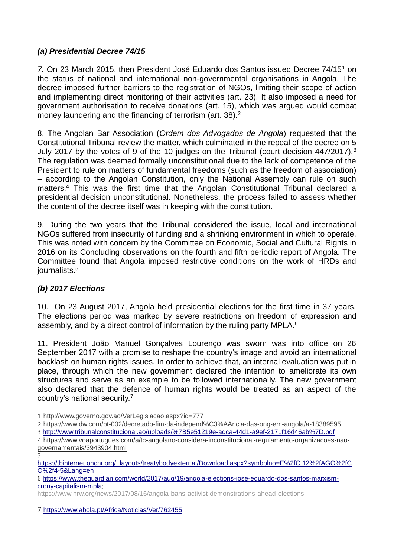## *(a) Presidential Decree 74/15*

7. On 23 March 2015, then President José Eduardo dos Santos issued Decree 74/15<sup>1</sup> on the status of national and international non-governmental organisations in Angola. The decree imposed further barriers to the registration of NGOs, limiting their scope of action and implementing direct monitoring of their activities (art. 23). It also imposed a need for government authorisation to receive donations (art. 15), which was argued would combat money laundering and the financing of terrorism (art. 38).<sup>2</sup>

8. The Angolan Bar Association (*Ordem dos Advogados de Angola*) requested that the Constitutional Tribunal review the matter, which culminated in the repeal of the decree on 5 July 2017 by the votes of 9 of the 10 judges on the Tribunal (court decision 447/2017).<sup>3</sup> The regulation was deemed formally unconstitutional due to the lack of competence of the President to rule on matters of fundamental freedoms (such as the freedom of association) – according to the Angolan Constitution, only the National Assembly can rule on such matters.<sup>4</sup> This was the first time that the Angolan Constitutional Tribunal declared a presidential decision unconstitutional. Nonetheless, the process failed to assess whether the content of the decree itself was in keeping with the constitution.

9. During the two years that the Tribunal considered the issue, local and international NGOs suffered from insecurity of funding and a shrinking environment in which to operate. This was noted with concern by the Committee on Economic, Social and Cultural Rights in 2016 on its Concluding observations on the fourth and fifth periodic report of Angola. The Committee found that Angola imposed restrictive conditions on the work of HRDs and journalists.<sup>5</sup>

### *(b) 2017 Elections*

10. On 23 August 2017, Angola held presidential elections for the first time in 37 years. The elections period was marked by severe restrictions on freedom of expression and assembly, and by a direct control of information by the ruling party MPLA.<sup>6</sup>

11. President João Manuel Gonçalves Lourenço was sworn was into office on 26 September 2017 with a promise to reshape the country's image and avoid an international backlash on human rights issues. In order to achieve that, an internal evaluation was put in place, through which the new government declared the intention to ameliorate its own structures and serve as an example to be followed internationally. The new government also declared that the defence of human rights would be treated as an aspect of the country's national security.<sup>7</sup>

<sup>&</sup>lt;u>.</u> 1 <http://www.governo.gov.ao/VerLegislacao.aspx?id=777>

<sup>2</sup> [https://www.dw.com/pt-002/decretado-fim-da-independ%C3%AAncia-das-ong-em-angola/a-18389595](https://www.dw.com/pt-002/decretado-fim-da-independência-das-ong-em-angola/a-18389595) 3 http://www.tribunalconstitucional.ao/uploads/%7B5e51219e-adca-44d1-a9ef-2171f16d46ab%7D.pdf

<sup>4</sup> [https://www.voaportugues.com/a/tc-angolano-considera-inconstitucional-regulamento-organizacoes-nao](https://www.voaportugues.com/a/tc-angolano-considera-inconstitucional-regulamento-organizacoes-nao-governamentais/3943904.html)[governamentais/3943904.html](https://www.voaportugues.com/a/tc-angolano-considera-inconstitucional-regulamento-organizacoes-nao-governamentais/3943904.html)

<sup>5</sup> [https://tbinternet.ohchr.org/\\_layouts/treatybodyexternal/Download.aspx?symbolno=E%2fC.12%2fAGO%2fC](https://tbinternet.ohchr.org/_layouts/treatybodyexternal/Download.aspx?symbolno=E%2FC.12%2FAGO%2FCO%2F4-5&Lang=en) [O%2f4-5&Lang=en](https://tbinternet.ohchr.org/_layouts/treatybodyexternal/Download.aspx?symbolno=E%2FC.12%2FAGO%2FCO%2F4-5&Lang=en)

<sup>6</sup> [https://www.theguardian.com/world/2017/aug/19/angola-elections-jose-eduardo-dos-santos-marxism](https://www.theguardian.com/world/2017/aug/19/angola-elections-jose-eduardo-dos-santos-marxism-crony-capitalism-mpla)[crony-capitalism-mpla;](https://www.theguardian.com/world/2017/aug/19/angola-elections-jose-eduardo-dos-santos-marxism-crony-capitalism-mpla)

<https://www.hrw.org/news/2017/08/16/angola-bans-activist-demonstrations-ahead-elections>

<sup>7</sup> <https://www.abola.pt/Africa/Noticias/Ver/762455>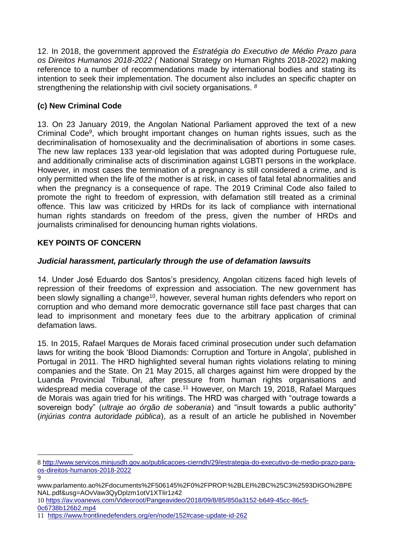12. In 2018, the government approved the *Estratégia do Executivo de Médio Prazo para os Direitos Humanos 2018-2022 (* National Strategy on Human Rights 2018-2022) making reference to a number of recommendations made by international bodies and stating its intention to seek their implementation. The document also includes an specific chapter on strengthening the relationship with civil society organisations. *<sup>8</sup>*

## **(c) New Criminal Code**

13. On 23 January 2019, the Angolan National Parliament approved the text of a new Criminal Code<sup>9</sup>, which brought important changes on human rights issues, such as the decriminalisation of homosexuality and the decriminalisation of abortions in some cases. The new law replaces 133 year-old legislation that was adopted during Portuguese rule, and additionally criminalise acts of discrimination against LGBTI persons in the workplace. However, in most cases the termination of a pregnancy is still considered a crime, and is only permitted when the life of the mother is at risk, in cases of fatal fetal abnormalities and when the pregnancy is a consequence of rape. The 2019 Criminal Code also failed to promote the right to freedom of expression, with defamation still treated as a criminal offence. This law was criticized by HRDs for its lack of compliance with international human rights standards on freedom of the press, given the number of HRDs and journalists criminalised for denouncing human rights violations.

## **KEY POINTS OF CONCERN**

1

### *Judicial harassment, particularly through the use of defamation lawsuits*

14. Under José Eduardo dos Santos's presidency, Angolan citizens faced high levels of repression of their freedoms of expression and association. The new government has been slowly signalling a change<sup>10</sup>, however, several human rights defenders who report on corruption and who demand more democratic governance still face past charges that can lead to imprisonment and monetary fees due to the arbitrary application of criminal defamation laws.

15. In 2015, Rafael Marques de Morais faced criminal prosecution under such defamation laws for writing the book 'Blood Diamonds: Corruption and Torture in Angola', published in Portugal in 2011. The HRD highlighted several human rights violations relating to mining companies and the State. On 21 May 2015, all charges against him were dropped by the Luanda Provincial Tribunal, after pressure from human rights organisations and widespread media coverage of the case.<sup>11</sup> However, on March 19, 2018, Rafael Marques de Morais was again tried for his writings. The HRD was charged with "outrage towards a sovereign body" (*ultraje ao órgão de soberania*) and "insult towards a public authority" (*injúrias contra autoridade pública*), as a result of an article he published in November

<sup>8</sup> [http://www.servicos.minjusdh.gov.ao/publicacoes-cierndh/29/estrategia-do-executivo-de-medio-prazo-para](http://www.servicos.minjusdh.gov.ao/publicacoes-cierndh/29/estrategia-do-executivo-de-medio-prazo-para-os-direitos-humanos-2018-2022)[os-direitos-humanos-2018-2022](http://www.servicos.minjusdh.gov.ao/publicacoes-cierndh/29/estrategia-do-executivo-de-medio-prazo-para-os-direitos-humanos-2018-2022)

<sup>9</sup> www.parlamento.ao%2Fdocuments%2F506145%2F0%2FPROP.%2BLEI%2BC%25C3%2593DIGO%2BPE NAL.pdf&usg=AOvVaw3QyDplzm1otV1XTIir1z42

<sup>10</sup> [https://av.voanews.com/Videoroot/Pangeavideo/2018/09/8/85/850a3152-b649-45cc-86c5-](https://av.voanews.com/Videoroot/Pangeavideo/2018/09/8/85/850a3152-b649-45cc-86c5-0c6738b126b2.mp4) [0c6738b126b2.mp4](https://av.voanews.com/Videoroot/Pangeavideo/2018/09/8/85/850a3152-b649-45cc-86c5-0c6738b126b2.mp4)

<sup>11</sup> <https://www.frontlinedefenders.org/en/node/152#case-update-id-262>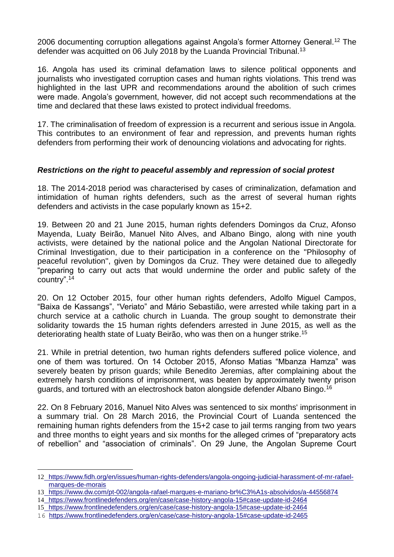2006 documenting corruption allegations against Angola's former Attorney General.<sup>12</sup> The defender was acquitted on 06 July 2018 by the Luanda Provincial Tribunal.<sup>13</sup>

16. Angola has used its criminal defamation laws to silence political opponents and journalists who investigated corruption cases and human rights violations. This trend was highlighted in the last UPR and recommendations around the abolition of such crimes were made. Angola's government, however, did not accept such recommendations at the time and declared that these laws existed to protect individual freedoms.

17. The criminalisation of freedom of expression is a recurrent and serious issue in Angola. This contributes to an environment of fear and repression, and prevents human rights defenders from performing their work of denouncing violations and advocating for rights.

#### *Restrictions on the right to peaceful assembly and repression of social protest*

18. The 2014-2018 period was characterised by cases of criminalization, defamation and intimidation of human rights defenders, such as the arrest of several human rights defenders and activists in the case popularly known as 15+2.

19. Between 20 and 21 June 2015, human rights defenders Domingos da Cruz, Afonso Mayenda, Luaty Beirão, Manuel Nito Alves, and Albano Bingo, along with nine youth activists, were detained by the national police and the Angolan National Directorate for Criminal Investigation, due to their participation in a conference on the ''Philosophy of peaceful revolution'', given by Domingos da Cruz. They were detained due to allegedly "preparing to carry out acts that would undermine the order and public safety of the country".<sup>14</sup>

20. On 12 October 2015, four other human rights defenders, Adolfo Miguel Campos, "Baixa de Kassangs", "Veriato" and Mário Sebastião, were arrested while taking part in a church service at a catholic church in Luanda. The group sought to demonstrate their solidarity towards the 15 human rights defenders arrested in June 2015, as well as the deteriorating health state of Luaty Beirão, who was then on a hunger strike.<sup>15</sup>

21. While in pretrial detention, two human rights defenders suffered police violence, and one of them was tortured. On 14 October 2015, Afonso Matias "Mbanza Hamza" was severely beaten by prison guards; while Benedito Jeremias, after complaining about the extremely harsh conditions of imprisonment, was beaten by approximately twenty prison guards, and tortured with an electroshock baton alongside defender Albano Bingo.<sup>16</sup>

22. On 8 February 2016, Manuel Nito Alves was sentenced to six months' imprisonment in a summary trial. On 28 March 2016, the Provincial Court of Luanda sentenced the remaining human rights defenders from the 15+2 case to jail terms ranging from two years and three months to eight years and six months for the alleged crimes of "preparatory acts of rebellion" and "association of criminals". On 29 June, the Angolan Supreme Court

1

<sup>12</sup> [https://www.fidh.org/en/issues/human-rights-defenders/angola-ongoing-judicial-harassment-of-mr-rafael](https://www.fidh.org/en/issues/human-rights-defenders/angola-ongoing-judicial-harassment-of-mr-rafael-marques-de-morais)[marques-de-morais](https://www.fidh.org/en/issues/human-rights-defenders/angola-ongoing-judicial-harassment-of-mr-rafael-marques-de-morais)

<sup>13</sup> [https://www.dw.com/pt-002/angola-rafael-marques-e-mariano-br%C3%A1s-absolvidos/a-44556874](https://www.dw.com/pt-002/angola-rafael-marques-e-mariano-brás-absolvidos/a-44556874)

<sup>14</sup> <https://www.frontlinedefenders.org/en/case/case-history-angola-15#case-update-id-2464>

<sup>15</sup> <https://www.frontlinedefenders.org/en/case/case-history-angola-15#case-update-id-2464>

<sup>16</sup> <https://www.frontlinedefenders.org/en/case/case-history-angola-15#case-update-id-2465>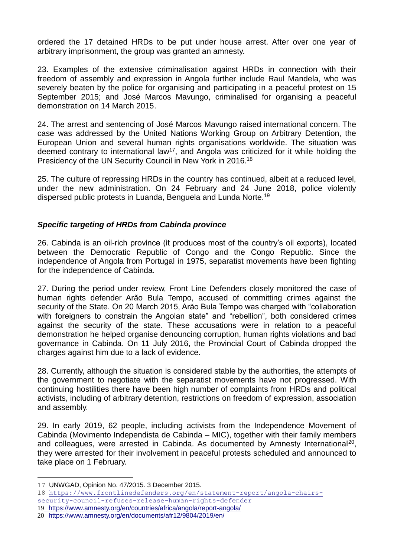ordered the 17 detained HRDs to be put under house arrest. After over one year of arbitrary imprisonment, the group was granted an amnesty.

23. Examples of the extensive criminalisation against HRDs in connection with their freedom of assembly and expression in Angola further include Raul Mandela, who was severely beaten by the police for organising and participating in a peaceful protest on 15 September 2015; and José Marcos Mavungo, criminalised for organising a peaceful demonstration on 14 March 2015.

24. The arrest and sentencing of José Marcos Mavungo raised international concern. The case was addressed by the United Nations Working Group on Arbitrary Detention, the European Union and several human rights organisations worldwide. The situation was deemed contrary to international law<sup>17</sup>, and Angola was criticized for it while holding the Presidency of the UN Security Council in New York in 2016.<sup>18</sup>

25. The culture of repressing HRDs in the country has continued, albeit at a reduced level, under the new administration. On 24 February and 24 June 2018, police violently dispersed public protests in Luanda, Benguela and Lunda Norte.<sup>19</sup>

### *Specific targeting of HRDs from Cabinda province*

26. Cabinda is an oil-rich province (it produces most of the country's oil exports), located between the Democratic Republic of Congo and the Congo Republic. Since the independence of Angola from Portugal in 1975, separatist movements have been fighting for the independence of Cabinda.

27. During the period under review, Front Line Defenders closely monitored the case of human rights defender Arão Bula Tempo, accused of committing crimes against the security of the State. On 20 March 2015, Arão Bula Tempo was charged with "collaboration with foreigners to constrain the Angolan state" and "rebellion", both considered crimes against the security of the state. These accusations were in relation to a peaceful demonstration he helped organise denouncing corruption, human rights violations and bad governance in Cabinda. On 11 July 2016, the Provincial Court of Cabinda dropped the charges against him due to a lack of evidence.

28. Currently, although the situation is considered stable by the authorities, the attempts of the government to negotiate with the separatist movements have not progressed. With continuing hostilities there have been high number of complaints from HRDs and political activists, including of arbitrary detention, restrictions on freedom of expression, association and assembly.

29. In early 2019, 62 people, including activists from the Independence Movement of Cabinda (Movimento Independista de Cabinda – MIC), together with their family members and colleagues, were arrested in Cabinda. As documented by Amnesty International<sup>20</sup>, they were arrested for their involvement in peaceful protests scheduled and announced to take place on 1 February.

1

<sup>17</sup> UNWGAD, Opinion No. 47/2015. 3 December 2015.

<sup>18</sup> [https://www.frontlinedefenders.org/en/statement-report/angola-chairs-](https://www.frontlinedefenders.org/en/statement-report/angola-chairs-security-council-refuses-release-human-rights-defender)

[security-council-refuses-release-human-rights-defender](https://www.frontlinedefenders.org/en/statement-report/angola-chairs-security-council-refuses-release-human-rights-defender)

<sup>19</sup> <https://www.amnesty.org/en/countries/africa/angola/report-angola/>

<sup>20</sup> <https://www.amnesty.org/en/documents/afr12/9804/2019/en/>